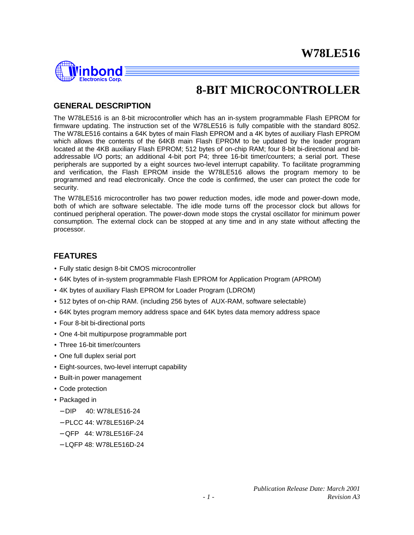

## **8-BIT MICROCONTROLLER**

## **GENERAL DESCRIPTION**

The W78LE516 is an 8-bit microcontroller which has an in-system programmable Flash EPROM for firmware updating. The instruction set of the W78LE516 is fully compatible with the standard 8052. The W78LE516 contains a 64K bytes of main Flash EPROM and a 4K bytes of auxiliary Flash EPROM which allows the contents of the 64KB main Flash EPROM to be updated by the loader program located at the 4KB auxiliary Flash EPROM; 512 bytes of on-chip RAM; four 8-bit bi-directional and bitaddressable I/O ports; an additional 4-bit port P4; three 16-bit timer/counters; a serial port. These peripherals are supported by a eight sources two-level interrupt capability. To facilitate programming and verification, the Flash EPROM inside the W78LE516 allows the program memory to be programmed and read electronically. Once the code is confirmed, the user can protect the code for security.

The W78LE516 microcontroller has two power reduction modes, idle mode and power-down mode, both of which are software selectable. The idle mode turns off the processor clock but allows for continued peripheral operation. The power-down mode stops the crystal oscillator for minimum power consumption. The external clock can be stopped at any time and in any state without affecting the processor.

### **FEATURES**

- Fully static design 8-bit CMOS microcontroller
- 64K bytes of in-system programmable Flash EPROM for Application Program (APROM)
- 4K bytes of auxiliary Flash EPROM for Loader Program (LDROM)
- 512 bytes of on-chip RAM. (including 256 bytes of AUX-RAM, software selectable)
- 64K bytes program memory address space and 64K bytes data memory address space
- Four 8-bit bi-directional ports
- One 4-bit multipurpose programmable port
- Three 16-bit timer/counters
- One full duplex serial port
- Eight-sources, two-level interrupt capability
- Built-in power management
- Code protection
- Packaged in
	- − DIP 40: W78LE516-24
	- − PLCC 44: W78LE516P-24
	- − QFP 44: W78LE516F-24
	- − LQFP 48: W78LE516D-24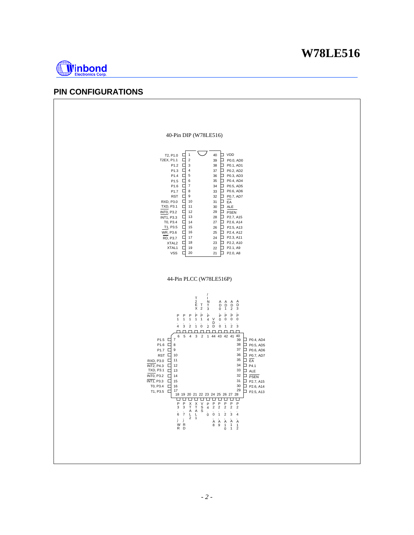

## **PIN CONFIGURATIONS**

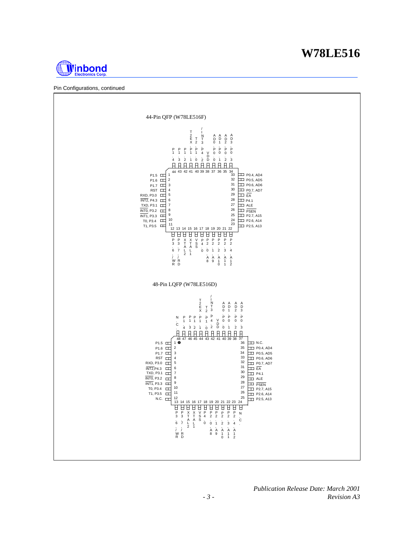



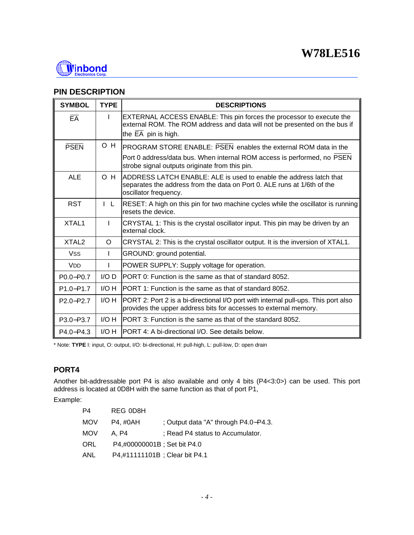

## **PIN DESCRIPTION**

| <b>SYMBOL</b>         | <b>TYPE</b>  | <b>DESCRIPTIONS</b>                                                                                                                                                    |
|-----------------------|--------------|------------------------------------------------------------------------------------------------------------------------------------------------------------------------|
| $E\overline{A}$       |              | EXTERNAL ACCESS ENABLE: This pin forces the processor to execute the<br>external ROM. The ROM address and data will not be presented on the bus if                     |
|                       |              | the EA pin is high.                                                                                                                                                    |
| <b>PSEN</b>           | O H          | PROGRAM STORE ENABLE: PSEN enables the external ROM data in the                                                                                                        |
|                       |              | Port 0 address/data bus. When internal ROM access is performed, no PSEN<br>strobe signal outputs originate from this pin.                                              |
| <b>ALE</b>            | O H          | ADDRESS LATCH ENABLE: ALE is used to enable the address latch that<br>separates the address from the data on Port 0. ALE runs at 1/6th of the<br>oscillator frequency. |
| <b>RST</b>            | $\mathsf{L}$ | RESET: A high on this pin for two machine cycles while the oscillator is running<br>resets the device.                                                                 |
| XTAL <sub>1</sub>     |              | CRYSTAL 1: This is the crystal oscillator input. This pin may be driven by an<br>external clock.                                                                       |
| XTAL <sub>2</sub>     | $\circ$      | CRYSTAL 2: This is the crystal oscillator output. It is the inversion of XTAL1.                                                                                        |
| <b>Vss</b>            | I            | GROUND: ground potential.                                                                                                                                              |
| <b>V<sub>DD</sub></b> |              | POWER SUPPLY: Supply voltage for operation.                                                                                                                            |
| P0.0-P0.7             | $I/O$ $D$    | PORT 0: Function is the same as that of standard 8052.                                                                                                                 |
| $P1.0 - P1.7$         | I/O H        | IPORT 1: Function is the same as that of standard 8052.                                                                                                                |
| $P2.0 - P2.7$         | I/O H        | PORT 2: Port 2 is a bi-directional I/O port with internal pull-ups. This port also<br>provides the upper address bits for accesses to external memory.                 |
| P3.0-P3.7             | I/O H        | IPORT 3: Function is the same as that of the standard 8052.                                                                                                            |
| $P4.0 - P4.3$         | I/O H        | PORT 4: A bi-directional I/O. See details below.                                                                                                                       |

\* Note: **TYPE** I: input, O: output, I/O: bi-directional, H: pull-high, L: pull-low, D: open drain

### **PORT4**

Another bit-addressable port P4 is also available and only 4 bits (P4<3:0>) can be used. This port address is located at 0D8H with the same function as that of port P1,

Example:

| P4         | REG 0D8H                      |                                      |
|------------|-------------------------------|--------------------------------------|
| <b>MOV</b> | P4. #0AH                      | ; Output data "A" through P4.0-P4.3. |
| <b>MOV</b> | A. P4                         | ; Read P4 status to Accumulator.     |
| <b>ORL</b> | P4,#00000001B ; Set bit P4.0  |                                      |
| <b>ANL</b> | P4,#11111101B; Clear bit P4.1 |                                      |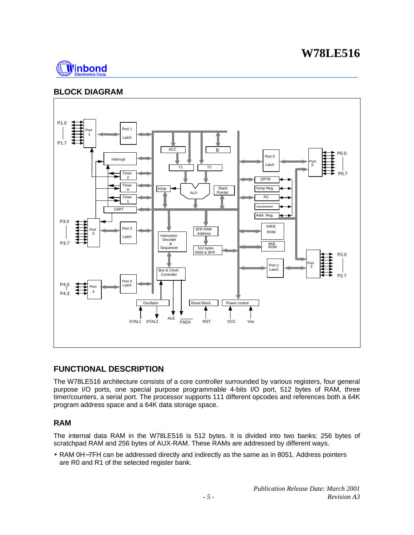

## **BLOCK DIAGRAM**



## **FUNCTIONAL DESCRIPTION**

The W78LE516 architecture consists of a core controller surrounded by various registers, four general purpose I/O ports, one special purpose programmable 4-bits I/O port, 512 bytes of RAM, three timer/counters, a serial port. The processor supports 111 different opcodes and references both a 64K program address space and a 64K data storage space.

### **RAM**

The internal data RAM in the W78LE516 is 512 bytes. It is divided into two banks: 256 bytes of scratchpad RAM and 256 bytes of AUX-RAM. These RAMs are addressed by different ways.

• RAM 0H−7FH can be addressed directly and indirectly as the same as in 8051. Address pointers are R0 and R1 of the selected register bank.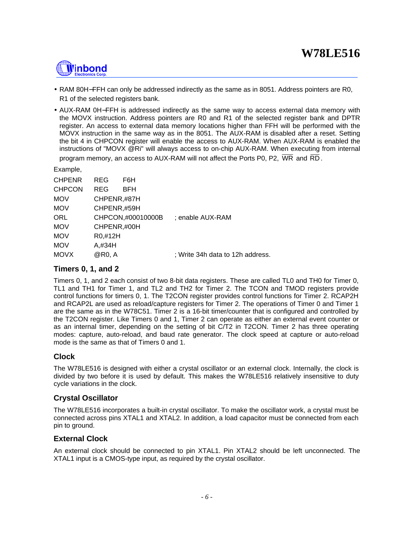# <u> Ninbond</u>

- RAM 80H−FFH can only be addressed indirectly as the same as in 8051. Address pointers are R0, R1 of the selected registers bank.
- AUX-RAM 0H−FFH is addressed indirectly as the same way to access external data memory with the MOVX instruction. Address pointers are R0 and R1 of the selected register bank and DPTR register. An access to external data memory locations higher than FFH will be performed with the MOVX instruction in the same way as in the 8051. The AUX-RAM is disabled after a reset. Setting the bit 4 in CHPCON register will enable the access to AUX-RAM. When AUX-RAM is enabled the instructions of "MOVX @Ri" will always access to on-chip AUX-RAM. When executing from internal program memory, an access to AUX-RAM will not affect the Ports P0, P2, WR and RD .

Example,

| <b>CHPENR</b> | <b>REG</b>  | F6H               |                                  |
|---------------|-------------|-------------------|----------------------------------|
| <b>CHPCON</b> | REG         | <b>BFH</b>        |                                  |
| <b>MOV</b>    | CHPENR,#87H |                   |                                  |
| <b>MOV</b>    | CHPENR,#59H |                   |                                  |
| ORL           |             | CHPCON,#00010000B | : enable AUX-RAM                 |
| <b>MOV</b>    | CHPENR,#00H |                   |                                  |
| <b>MOV</b>    | R0,#12H     |                   |                                  |
| <b>MOV</b>    | A,#34H      |                   |                                  |
| <b>MOVX</b>   | @R0, A      |                   | : Write 34h data to 12h address. |
|               |             |                   |                                  |

#### **Timers 0, 1, and 2**

Timers 0, 1, and 2 each consist of two 8-bit data registers. These are called TL0 and TH0 for Timer 0, TL1 and TH1 for Timer 1, and TL2 and TH2 for Timer 2. The TCON and TMOD registers provide control functions for timers 0, 1. The T2CON register provides control functions for Timer 2. RCAP2H and RCAP2L are used as reload/capture registers for Timer 2. The operations of Timer 0 and Timer 1 are the same as in the W78C51. Timer 2 is a 16-bit timer/counter that is configured and controlled by the T2CON register. Like Timers 0 and 1, Timer 2 can operate as either an external event counter or as an internal timer, depending on the setting of bit C/T2 in T2CON. Timer 2 has three operating modes: capture, auto-reload, and baud rate generator. The clock speed at capture or auto-reload mode is the same as that of Timers 0 and 1.

### **Clock**

The W78LE516 is designed with either a crystal oscillator or an external clock. Internally, the clock is divided by two before it is used by default. This makes the W78LE516 relatively insensitive to duty cycle variations in the clock.

### **Crystal Oscillator**

The W78LE516 incorporates a built-in crystal oscillator. To make the oscillator work, a crystal must be connected across pins XTAL1 and XTAL2. In addition, a load capacitor must be connected from each pin to ground.

### **External Clock**

An external clock should be connected to pin XTAL1. Pin XTAL2 should be left unconnected. The XTAL1 input is a CMOS-type input, as required by the crystal oscillator.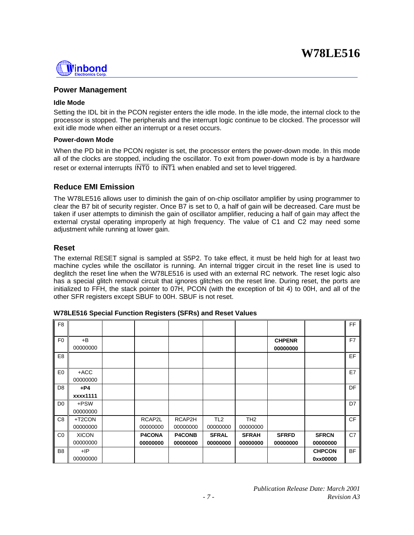

#### **Power Management**

#### **Idle Mode**

Setting the IDL bit in the PCON register enters the idle mode. In the idle mode, the internal clock to the processor is stopped. The peripherals and the interrupt logic continue to be clocked. The processor will exit idle mode when either an interrupt or a reset occurs.

#### **Power-down Mode**

When the PD bit in the PCON register is set, the processor enters the power-down mode. In this mode all of the clocks are stopped, including the oscillator. To exit from power-down mode is by a hardware reset or external interrupts  $\overline{\text{INT0}}$  to  $\overline{\text{INT1}}$  when enabled and set to level triggered.

#### **Reduce EMI Emission**

The W78LE516 allows user to diminish the gain of on-chip oscillator amplifier by using programmer to clear the B7 bit of security register. Once B7 is set to 0, a half of gain will be decreased. Care must be taken if user attempts to diminish the gain of oscillator amplifier, reducing a half of gain may affect the external crystal operating improperly at high frequency. The value of C1 and C2 may need some adjustment while running at lower gain.

#### **Reset**

The external RESET signal is sampled at S5P2. To take effect, it must be held high for at least two machine cycles while the oscillator is running. An internal trigger circuit in the reset line is used to deglitch the reset line when the W78LE516 is used with an external RC network. The reset logic also has a special glitch removal circuit that ignores glitches on the reset line. During reset, the ports are initialized to FFH, the stack pointer to 07H, PCON (with the exception of bit 4) to 00H, and all of the other SFR registers except SBUF to 00H. SBUF is not reset.

| F <sub>8</sub> |                          |                           |                           |                             |                             |                           |                           | FF.       |
|----------------|--------------------------|---------------------------|---------------------------|-----------------------------|-----------------------------|---------------------------|---------------------------|-----------|
| F <sub>0</sub> | $+B$<br>00000000         |                           |                           |                             |                             | <b>CHPENR</b><br>00000000 |                           | F7        |
| E <sub>8</sub> |                          |                           |                           |                             |                             |                           |                           | EF        |
| E <sub>0</sub> | $+ACC$<br>00000000       |                           |                           |                             |                             |                           |                           | E7        |
| D <sub>8</sub> | $+P4$<br>xxxx1111        |                           |                           |                             |                             |                           |                           | <b>DF</b> |
| D <sub>0</sub> | +PSW<br>00000000         |                           |                           |                             |                             |                           |                           | D7        |
| C <sub>8</sub> | +T2CON<br>00000000       | RCAP2L<br>00000000        | RCAP2H<br>00000000        | TL <sub>2</sub><br>00000000 | TH <sub>2</sub><br>00000000 |                           |                           | CF        |
| CO             | <b>XICON</b><br>00000000 | <b>P4CONA</b><br>00000000 | <b>P4CONB</b><br>00000000 | <b>SFRAL</b><br>00000000    | <b>SFRAH</b><br>00000000    | <b>SFRFD</b><br>00000000  | <b>SFRCN</b><br>00000000  | C7        |
| B <sub>8</sub> | $+IP$<br>00000000        |                           |                           |                             |                             |                           | <b>CHPCON</b><br>0xx00000 | <b>BF</b> |

**W78LE516 Special Function Registers (SFRs) and Reset Values**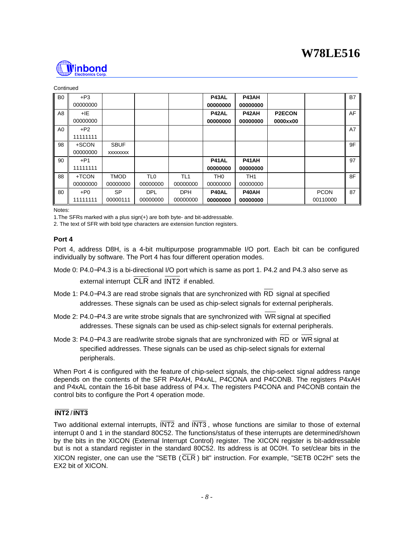

#### Continued

| B <sub>0</sub> | $+P3$<br>00000000 |                                |                             |                             | P43AL<br>00000000           | P43AH<br>00000000           |                           |                         | <b>B7</b> |
|----------------|-------------------|--------------------------------|-----------------------------|-----------------------------|-----------------------------|-----------------------------|---------------------------|-------------------------|-----------|
| A8             | +IE<br>00000000   |                                |                             |                             | P42AL<br>00000000           | P42AH<br>00000000           | <b>P2ECON</b><br>0000xx00 |                         | AF        |
| A <sub>0</sub> | $+P2$<br>11111111 |                                |                             |                             |                             |                             |                           |                         | A7        |
| 98             | +SCON<br>00000000 | <b>SBUF</b><br><b>XXXXXXXX</b> |                             |                             |                             |                             |                           |                         | 9F        |
| 90             | $+P1$<br>11111111 |                                |                             |                             | <b>P41AL</b><br>00000000    | P41AH<br>00000000           |                           |                         | 97        |
| 88             | +TCON<br>00000000 | <b>TMOD</b><br>00000000        | TL <sub>0</sub><br>00000000 | TL <sub>1</sub><br>00000000 | TH <sub>0</sub><br>00000000 | TH <sub>1</sub><br>00000000 |                           |                         | 8F        |
| 80             | $+P0$<br>11111111 | <b>SP</b><br>00000111          | <b>DPL</b><br>00000000      | <b>DPH</b><br>00000000      | P40AL<br>00000000           | P40AH<br>00000000           |                           | <b>PCON</b><br>00110000 | 87        |

Notes:

1.The SFRs marked with a plus sign(+) are both byte- and bit-addressable.

2. The text of SFR with bold type characters are extension function registers.

#### **Port 4**

Port 4, address D8H, is a 4-bit multipurpose programmable I/O port. Each bit can be configured individually by software. The Port 4 has four different operation modes.

- Mode 0: P4.0−P4.3 is a bi-directional I/O port which is same as port 1. P4.2 and P4.3 also serve as external interrupt CLR and INT2 if enabled.
- Mode 1: P4.0−P4.3 are read strobe signals that are synchronized with RD signal at specified addresses. These signals can be used as chip-select signals for external peripherals.
- Mode 2: P4.0−P4.3 are write strobe signals that are synchronized with WR signal at specified addresses. These signals can be used as chip-select signals for external peripherals.
- Mode 3: P4.0−P4.3 are read/write strobe signals that are synchronized with RD or WR signal at specified addresses. These signals can be used as chip-select signals for external peripherals.

When Port 4 is configured with the feature of chip-select signals, the chip-select signal address range depends on the contents of the SFR P4xAH, P4xAL, P4CONA and P4CONB. The registers P4xAH and P4xAL contain the 16-bit base address of P4.x. The registers P4CONA and P4CONB contain the control bits to configure the Port 4 operation mode.

#### **INT2** /**INT3**

Two additional external interrupts, INT2 and INT3, whose functions are similar to those of external interrupt 0 and 1 in the standard 80C52. The functions/status of these interrupts are determined/shown by the bits in the XICON (External Interrupt Control) register. The XICON register is bit-addressable but is not a standard register in the standard 80C52. Its address is at 0C0H. To set/clear bits in the XICON register, one can use the "SETB ( $\overline{CLR}$ ) bit" instruction. For example, "SETB 0C2H" sets the EX2 bit of XICON.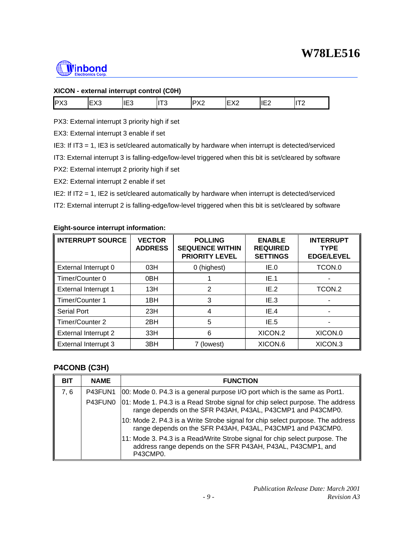

### **XICON - external interrupt control (C0H)**

| PX3 | <b>FV0</b><br>ט∧⊐ו | IE <sub>3</sub> | $-$ 0<br>ن ، | $\neg v \wedge$<br>1 N.Z | F <sub>1</sub><br>∼ | $1 - \alpha$<br>⊩<br>ᄔᄼ | $- - -$ |
|-----|--------------------|-----------------|--------------|--------------------------|---------------------|-------------------------|---------|
|-----|--------------------|-----------------|--------------|--------------------------|---------------------|-------------------------|---------|

PX3: External interrupt 3 priority high if set

EX3: External interrupt 3 enable if set

IE3: If IT3 = 1, IE3 is set/cleared automatically by hardware when interrupt is detected/serviced

IT3: External interrupt 3 is falling-edge/low-level triggered when this bit is set/cleared by software

PX2: External interrupt 2 priority high if set

EX2: External interrupt 2 enable if set

IE2: If IT2 = 1, IE2 is set/cleared automatically by hardware when interrupt is detected/serviced

IT2: External interrupt 2 is falling-edge/low-level triggered when this bit is set/cleared by software

#### **Eight-source interrupt information:**

| <b>INTERRUPT SOURCE</b>     | <b>VECTOR</b><br><b>ADDRESS</b> | <b>POLLING</b><br><b>SEQUENCE WITHIN</b><br><b>PRIORITY LEVEL</b> | <b>ENABLE</b><br><b>REQUIRED</b><br><b>SETTINGS</b> | <b>INTERRUPT</b><br><b>TYPE</b><br><b>EDGE/LEVEL</b> |
|-----------------------------|---------------------------------|-------------------------------------------------------------------|-----------------------------------------------------|------------------------------------------------------|
| External Interrupt 0        | 03H                             | 0 (highest)                                                       | IE.0                                                | TCON.0                                               |
| Timer/Counter 0             | 0 <sub>BH</sub>                 |                                                                   | IE.1                                                |                                                      |
| External Interrupt 1        | 13H                             | 2                                                                 | IE.2                                                | TCON.2                                               |
| Timer/Counter 1             | 1 <sub>BH</sub>                 | 3                                                                 | IE 3                                                |                                                      |
| <b>Serial Port</b>          | 23H                             | 4                                                                 | IE.4                                                |                                                      |
| Timer/Counter 2             | 2BH                             | 5                                                                 | IE.5                                                |                                                      |
| <b>External Interrupt 2</b> | 33H                             | 6                                                                 | XICON <sub>2</sub>                                  | XICON.0                                              |
| <b>External Interrupt 3</b> | 3BH                             | 7 (lowest)                                                        | XICON <sub>.6</sub>                                 | XICON <sub>3</sub>                                   |

### **P4CONB (C3H)**

| <b>BIT</b> | <b>NAME</b> | <b>FUNCTION</b>                                                                                                                                        |
|------------|-------------|--------------------------------------------------------------------------------------------------------------------------------------------------------|
| 7.6        |             | P43FUN1   00: Mode 0. P4.3 is a general purpose I/O port which is the same as Port1.                                                                   |
|            |             | P43FUN0 01: Mode 1. P4.3 is a Read Strobe signal for chip select purpose. The address<br>range depends on the SFR P43AH, P43AL, P43CMP1 and P43CMP0.   |
|            |             | 10: Mode 2. P4.3 is a Write Strobe signal for chip select purpose. The address<br>range depends on the SFR P43AH, P43AL, P43CMP1 and P43CMP0.          |
|            |             | 11: Mode 3. P4.3 is a Read/Write Strobe signal for chip select purpose. The<br>address range depends on the SFR P43AH, P43AL, P43CMP1, and<br>P43CMP0. |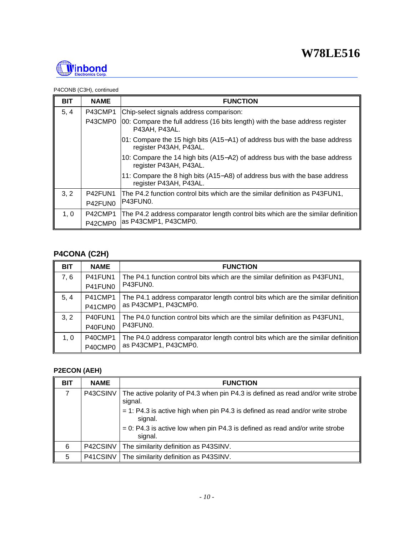

#### P4CONB (C3H), continued

| <b>BIT</b> | <b>NAME</b> | <b>FUNCTION</b>                                                                                      |
|------------|-------------|------------------------------------------------------------------------------------------------------|
| 5, 4       | P43CMP1     | Chip-select signals address comparison:                                                              |
|            | P43CMP0     | 00: Compare the full address (16 bits length) with the base address register<br>P43AH, P43AL,        |
|            |             | 01: Compare the 15 high bits (A15–A1) of address bus with the base address<br>register P43AH, P43AL. |
|            |             | 10: Compare the 14 high bits (A15–A2) of address bus with the base address<br>register P43AH, P43AL. |
|            |             | 11: Compare the 8 high bits (A15–A8) of address bus with the base address<br>register P43AH, P43AL.  |
| 3, 2       | P42FUN1     | The P4.2 function control bits which are the similar definition as P43FUN1,                          |
|            | P42FUN0     | IP43FUN0.                                                                                            |
| 1, 0       | P42CMP1     | The P4.2 address comparator length control bits which are the similar definition                     |
|            | P42CMP0     | as P43CMP1, P43CMP0.                                                                                 |

## **P4CONA (C2H)**

| <b>BIT</b> | <b>NAME</b> | <b>FUNCTION</b>                                                                  |
|------------|-------------|----------------------------------------------------------------------------------|
| 7, 6       | P41FUN1     | The P4.1 function control bits which are the similar definition as P43FUN1,      |
|            | P41FUN0     | P43FUN0.                                                                         |
| 5, 4       | P41CMP1     | The P4.1 address comparator length control bits which are the similar definition |
|            | P41CMP0     | as P43CMP1, P43CMP0.                                                             |
| 3, 2       | P40FUN1     | The P4.0 function control bits which are the similar definition as P43FUN1,      |
|            | P40FUN0     | P43FUN0.                                                                         |
| 1.0        | P40CMP1     | The P4.0 address comparator length control bits which are the similar definition |
|            | P40CMP0     | as P43CMP1, P43CMP0.                                                             |

## **P2ECON (AEH)**

| <b>BIT</b> | <b>NAME</b> | <b>FUNCTION</b>                                                                             |
|------------|-------------|---------------------------------------------------------------------------------------------|
| 7          | P43CSINV    | The active polarity of P4.3 when pin P4.3 is defined as read and/or write strobe<br>signal. |
|            |             | $=$ 1: P4.3 is active high when pin P4.3 is defined as read and/or write strobe<br>signal.  |
|            |             | $= 0$ : P4.3 is active low when pin P4.3 is defined as read and/or write strobe<br>signal.  |
| 6          | P42CSINV    | The similarity definition as P43SINV.                                                       |
| 5          | P41CSINV    | The similarity definition as P43SINV.                                                       |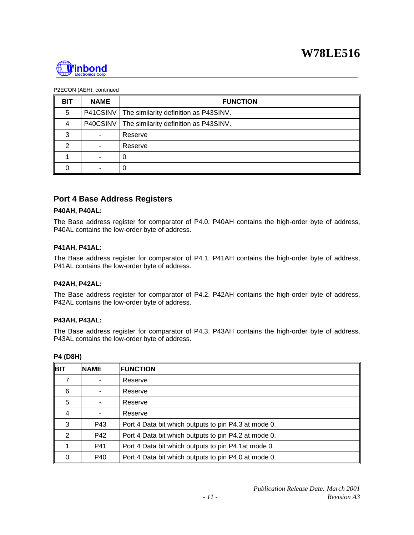

#### P2ECON (AEH), continued

| <b>BIT</b> | <b>NAME</b> | <b>FUNCTION</b>                                  |
|------------|-------------|--------------------------------------------------|
| 5          |             | P41CSINV   The similarity definition as P43SINV. |
| 4          |             | P40CSINV   The similarity definition as P43SINV. |
| 3          |             | Reserve                                          |
| 2          |             | Reserve                                          |
|            | -           |                                                  |
|            |             |                                                  |

## **Port 4 Base Address Registers**

#### **P40AH, P40AL:**

The Base address register for comparator of P4.0. P40AH contains the high-order byte of address, P40AL contains the low-order byte of address.

#### **P41AH, P41AL:**

The Base address register for comparator of P4.1. P41AH contains the high-order byte of address, P41AL contains the low-order byte of address.

#### **P42AH, P42AL:**

The Base address register for comparator of P4.2. P42AH contains the high-order byte of address, P42AL contains the low-order byte of address.

#### **P43AH, P43AL:**

The Base address register for comparator of P4.3. P43AH contains the high-order byte of address, P43AL contains the low-order byte of address.

| <b>4 (D8H)</b> |
|----------------|
|                |

| <b>BIT</b> | <b>NAME</b> | <b>FUNCTION</b>                                      |
|------------|-------------|------------------------------------------------------|
|            |             | Reserve                                              |
| 6          |             | Reserve                                              |
| 5          |             | Reserve                                              |
| 4          |             | Reserve                                              |
| 3          | P43         | Port 4 Data bit which outputs to pin P4.3 at mode 0. |
| 2          | P42         | Port 4 Data bit which outputs to pin P4.2 at mode 0. |
|            | P41         | Port 4 Data bit which outputs to pin P4.1at mode 0.  |
| 0          | P40         | Port 4 Data bit which outputs to pin P4.0 at mode 0. |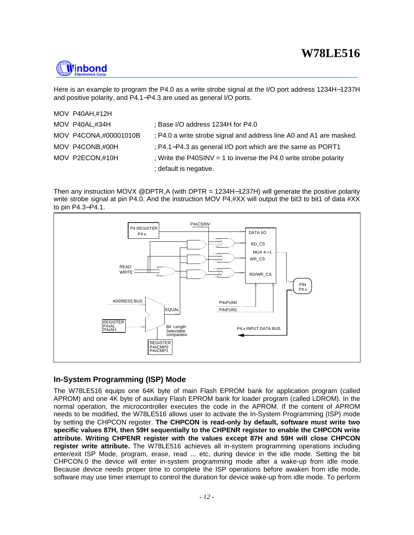

Here is an example to program the P4.0 as a write strobe signal at the I/O port address 1234H−1237H and positive polarity, and P4.1−P4.3 are used as general I/O ports.

| MOV P40AH,#12H        |                                                                     |
|-----------------------|---------------------------------------------------------------------|
| MOV P40AL,#34H        | ; Base I/O address 1234H for P4.0                                   |
| MOV P4CONA,#00001010B | ; P4.0 a write strobe signal and address line A0 and A1 are masked. |
| MOV P4CONB,#00H       | ; P4.1–P4.3 as general I/O port which are the same as PORT1         |
| MOV P2ECON,#10H       | ; Write the P40SINV = 1 to inverse the P4.0 write strobe polarity   |
|                       | ; default is negative.                                              |

Then any instruction MOVX @DPTR,A (with DPTR = 1234H-1237H) will generate the positive polarity write strobe signal at pin P4.0. And the instruction MOV P4,#XX will output the bit3 to bit1 of data #XX to pin P4.3−P4.1.



### **In-System Programming (ISP) Mode**

The W78LE516 equips one 64K byte of main Flash EPROM bank for application program (called APROM) and one 4K byte of auxiliary Flash EPROM bank for loader program (called LDROM). In the normal operation, the microcontroller executes the code in the APROM. If the content of APROM needs to be modified, the W78LE516 allows user to activate the In-System Programming (ISP) mode by setting the CHPCON register. **The CHPCON is read-only by default, software must write two specific values 87H, then 59H sequentially to the CHPENR register to enable the CHPCON write attribute. Writing CHPENR register with the values except 87H and 59H will close CHPCON register write attribute.** The W78LE516 achieves all in-system programming operations including enter/exit ISP Mode, program, erase, read ... etc, during device in the idle mode. Setting the bit CHPCON.0 the device will enter in-system programming mode after a wake-up from idle mode. Because device needs proper time to complete the ISP operations before awaken from idle mode, software may use timer interrupt to control the duration for device wake-up from idle mode. To perform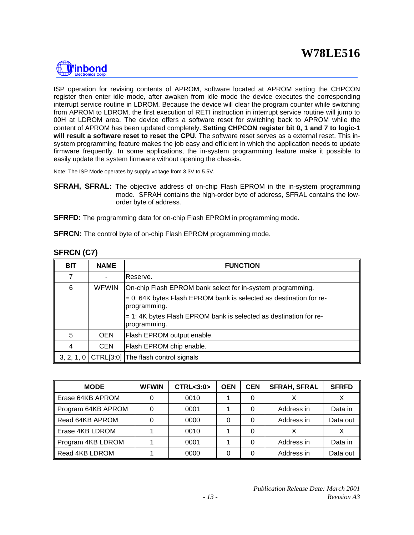

ISP operation for revising contents of APROM, software located at APROM setting the CHPCON register then enter idle mode, after awaken from idle mode the device executes the corresponding interrupt service routine in LDROM. Because the device will clear the program counter while switching from APROM to LDROM, the first execution of RETI instruction in interrupt service routine will jump to 00H at LDROM area. The device offers a software reset for switching back to APROM while the content of APROM has been updated completely. **Setting CHPCON register bit 0, 1 and 7 to logic-1 will result a software reset to reset the CPU**. The software reset serves as a external reset. This insystem programming feature makes the job easy and efficient in which the application needs to update firmware frequently. In some applications, the in-system programming feature make it possible to easily update the system firmware without opening the chassis.

Note: The ISP Mode operates by supply voltage from 3.3V to 5.5V.

**SFRAH, SFRAL:** The objective address of on-chip Flash EPROM in the in-system programming mode. SFRAH contains the high-order byte of address, SFRAL contains the loworder byte of address.

**SFRFD:** The programming data for on-chip Flash EPROM in programming mode.

**SFRCN:** The control byte of on-chip Flash EPROM programming mode.

| <b>BIT</b> | <b>NAME</b>  | <b>FUNCTION</b>                                                                       |
|------------|--------------|---------------------------------------------------------------------------------------|
| 7          |              | Reserve.                                                                              |
| 6          | <b>WFWIN</b> | On-chip Flash EPROM bank select for in-system programming.                            |
|            |              | $= 0$ : 64K bytes Flash EPROM bank is selected as destination for re-<br>programming. |
|            |              | $=$ 1:4K bytes Flash EPROM bank is selected as destination for re-<br>programming.    |
| 5          | <b>OEN</b>   | Flash EPROM output enable.                                                            |
| 4          | <b>CEN</b>   | Flash EPROM chip enable.                                                              |
|            |              | 3, 2, 1, 0 $\vert$ CTRL[3:0] The flash control signals                                |

### **SFRCN (C7)**

| <b>MODE</b>        | <b>WFWIN</b> | <b>CTRL&lt;3:0&gt;</b> | <b>OEN</b> | <b>CEN</b> | <b>SFRAH, SFRAL</b> | <b>SFRFD</b> |
|--------------------|--------------|------------------------|------------|------------|---------------------|--------------|
| Erase 64KB APROM   |              | 0010                   |            |            |                     |              |
| Program 64KB APROM |              | 0001                   |            | 0          | Address in          | Data in      |
| Read 64KB APROM    |              | 0000                   |            | 0          | Address in          | Data out     |
| Erase 4KB LDROM    |              | 0010                   |            | 0          |                     |              |
| Program 4KB LDROM  |              | 0001                   |            | 0          | Address in          | Data in      |
| Read 4KB LDROM     |              | 0000                   |            | 0          | Address in          | Data out     |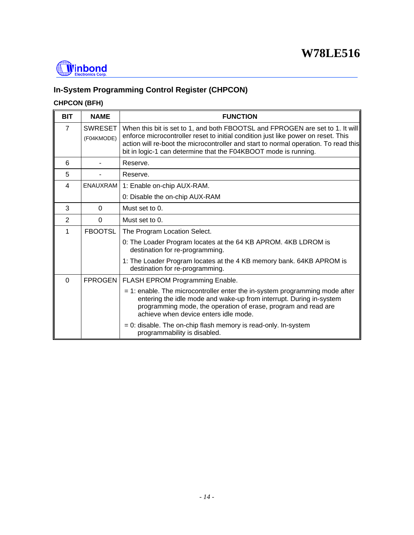

## **In-System Programming Control Register (CHPCON)**

## **CHPCON (BFH)**

| <b>BIT</b>     | <b>NAME</b>                  | <b>FUNCTION</b>                                                                                                                                                                                                                                                                                                              |
|----------------|------------------------------|------------------------------------------------------------------------------------------------------------------------------------------------------------------------------------------------------------------------------------------------------------------------------------------------------------------------------|
| $\overline{7}$ | <b>SWRESET</b><br>(F04KMODE) | When this bit is set to 1, and both FBOOTSL and FPROGEN are set to 1. It will<br>enforce microcontroller reset to initial condition just like power on reset. This<br>action will re-boot the microcontroller and start to normal operation. To read this<br>bit in logic-1 can determine that the F04KBOOT mode is running. |
| 6              |                              | Reserve.                                                                                                                                                                                                                                                                                                                     |
| 5              |                              | Reserve.                                                                                                                                                                                                                                                                                                                     |
| 4              | <b>ENAUXRAM</b>              | 1: Enable on-chip AUX-RAM.                                                                                                                                                                                                                                                                                                   |
|                |                              | 0: Disable the on-chip AUX-RAM                                                                                                                                                                                                                                                                                               |
| 3              | $\Omega$                     | Must set to 0.                                                                                                                                                                                                                                                                                                               |
| $\mathbf{2}$   | $\Omega$                     | Must set to 0.                                                                                                                                                                                                                                                                                                               |
| 1              | <b>FBOOTSL</b>               | The Program Location Select.                                                                                                                                                                                                                                                                                                 |
|                |                              | 0: The Loader Program locates at the 64 KB APROM. 4KB LDROM is<br>destination for re-programming.                                                                                                                                                                                                                            |
|                |                              | 1: The Loader Program locates at the 4 KB memory bank. 64KB APROM is<br>destination for re-programming.                                                                                                                                                                                                                      |
| $\Omega$       |                              | FPROGEN   FLASH EPROM Programming Enable.                                                                                                                                                                                                                                                                                    |
|                |                              | $=$ 1: enable. The microcontroller enter the in-system programming mode after<br>entering the idle mode and wake-up from interrupt. During in-system<br>programming mode, the operation of erase, program and read are<br>achieve when device enters idle mode.                                                              |
|                |                              | $= 0$ : disable. The on-chip flash memory is read-only. In-system<br>programmability is disabled.                                                                                                                                                                                                                            |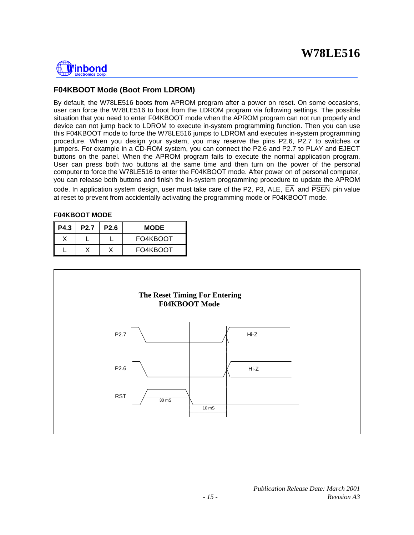

### **F04KBOOT Mode (Boot From LDROM)**

By default, the W78LE516 boots from APROM program after a power on reset. On some occasions, user can force the W78LE516 to boot from the LDROM program via following settings. The possible situation that you need to enter F04KBOOT mode when the APROM program can not run properly and device can not jump back to LDROM to execute in-system programming function. Then you can use this F04KBOOT mode to force the W78LE516 jumps to LDROM and executes in-system programming procedure. When you design your system, you may reserve the pins P2.6, P2.7 to switches or jumpers. For example in a CD-ROM system, you can connect the P2.6 and P2.7 to PLAY and EJECT buttons on the panel. When the APROM program fails to execute the normal application program. User can press both two buttons at the same time and then turn on the power of the personal computer to force the W78LE516 to enter the F04KBOOT mode. After power on of personal computer, you can release both buttons and finish the in-system programming procedure to update the APROM code. In application system design, user must take care of the P2, P3, ALE,  $\overline{EA}$  and  $\overline{PSEN}$  pin value at reset to prevent from accidentally activating the programming mode or F04KBOOT mode.

#### **F04KBOOT MODE**

| <b>P4.3</b> | <b>P2.7</b> | <b>P2.6</b> | <b>MODE</b> |
|-------------|-------------|-------------|-------------|
|             |             |             | FO4KBOOT    |
|             |             |             | FO4KBOOT    |

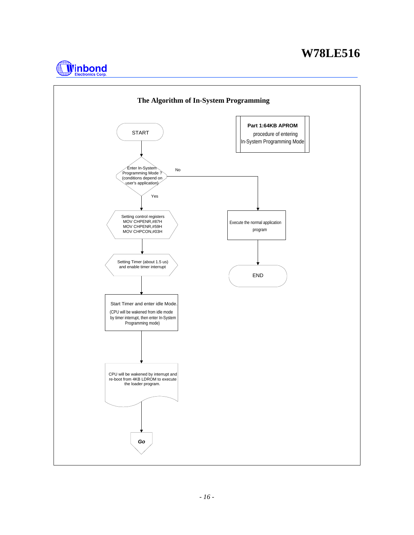

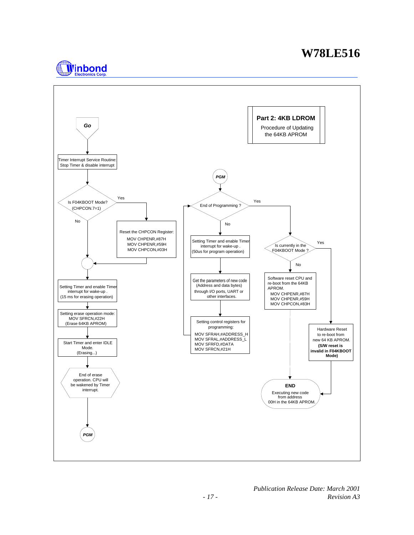

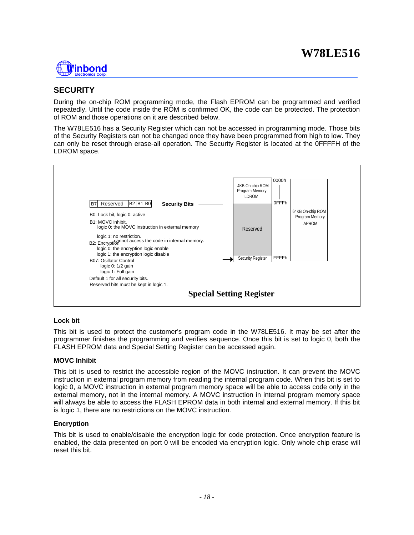

## **SECURITY**

During the on-chip ROM programming mode, the Flash EPROM can be programmed and verified repeatedly. Until the code inside the ROM is confirmed OK, the code can be protected. The protection of ROM and those operations on it are described below.

The W78LE516 has a Security Register which can not be accessed in programming mode. Those bits of the Security Registers can not be changed once they have been programmed from high to low. They can only be reset through erase-all operation. The Security Register is located at the 0FFFFH of the LDROM space.



#### **Lock bit**

This bit is used to protect the customer's program code in the W78LE516. It may be set after the programmer finishes the programming and verifies sequence. Once this bit is set to logic 0, both the FLASH EPROM data and Special Setting Register can be accessed again.

#### **MOVC Inhibit**

This bit is used to restrict the accessible region of the MOVC instruction. It can prevent the MOVC instruction in external program memory from reading the internal program code. When this bit is set to logic 0, a MOVC instruction in external program memory space will be able to access code only in the external memory, not in the internal memory. A MOVC instruction in internal program memory space will always be able to access the FLASH EPROM data in both internal and external memory. If this bit is logic 1, there are no restrictions on the MOVC instruction.

#### **Encryption**

This bit is used to enable/disable the encryption logic for code protection. Once encryption feature is enabled, the data presented on port 0 will be encoded via encryption logic. Only whole chip erase will reset this bit.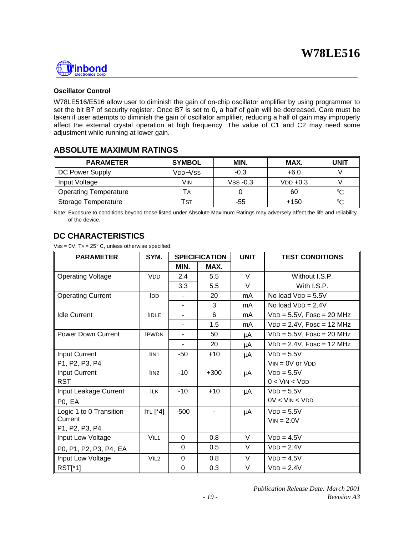

#### **Oscillator Control**

W78LE516/E516 allow user to diminish the gain of on-chip oscillator amplifier by using programmer to set the bit B7 of security register. Once B7 is set to 0, a half of gain will be decreased. Care must be taken if user attempts to diminish the gain of oscillator amplifier, reducing a half of gain may improperly affect the external crystal operation at high frequency. The value of C1 and C2 may need some adjustment while running at lower gain.

### **ABSOLUTE MAXIMUM RATINGS**

| <b>PARAMETER</b>             | <b>SYMBOL</b>                    | MIN.       | MAX.       | UNIT        |
|------------------------------|----------------------------------|------------|------------|-------------|
| DC Power Supply              | V <sub>DD</sub> -V <sub>SS</sub> | $-0.3$     | $+6.0$     |             |
| Input Voltage                | Vin                              | $VSS -0.3$ | $VDD +0.3$ |             |
| <b>Operating Temperature</b> |                                  |            | 60         | $^{\circ}C$ |
| Storage Temperature          | Tst                              | -55        | $+150$     | °C          |

Note: Exposure to conditions beyond those listed under Absolute Maximum Ratings may adversely affect the life and reliability of the device.

## **DC CHARACTERISTICS**

 $VSS = 0V$ ,  $TA = 25^{\circ}$  C, unless otherwise specified.

| <b>PARAMETER</b>          | SYM.                           | <b>SPECIFICATION</b> |        | <b>UNIT</b> | <b>TEST CONDITIONS</b>       |  |
|---------------------------|--------------------------------|----------------------|--------|-------------|------------------------------|--|
|                           |                                | MIN.                 | MAX.   |             |                              |  |
| <b>Operating Voltage</b>  | <b>V<sub>DD</sub></b>          | 2.4                  | 5.5    | V           | Without I.S.P.               |  |
|                           |                                | 3.3                  | 5.5    | V           | With I.S.P.                  |  |
| <b>Operating Current</b>  | <b>IDD</b>                     |                      | 20     | mA          | No load $VDD = 5.5V$         |  |
|                           |                                |                      | 3      | mA          | No load $VDD = 2.4V$         |  |
| <b>Idle Current</b>       | <b>IIDLE</b>                   | $\blacksquare$       | 6      | mA          | $VDD = 5.5V$ , Fosc = 20 MHz |  |
|                           |                                |                      | 1.5    | mA.         | $VDD = 2.4V$ , Fosc = 12 MHz |  |
| <b>Power Down Current</b> | <b>IPWDN</b>                   |                      | 50     | μA          | $VDD = 5.5V$ , Fosc = 20 MHz |  |
|                           |                                |                      | 20     | μA          | $VDD = 2.4V$ , Fosc = 12 MHz |  |
| <b>Input Current</b>      | IIN <sub>1</sub>               | -50                  | $+10$  | μA          | $VDD = 5.5V$                 |  |
| P1, P2, P3, P4            |                                |                      |        |             | $VIN = OV$ or $VDD$          |  |
| Input Current             | $\overline{I}$ IN <sub>2</sub> | $-10$                | $+300$ | μA          | $VDD = 5.5V$                 |  |
| <b>RST</b>                |                                |                      |        |             | $0 <$ VIN $<$ VDD            |  |
| Input Leakage Current     | <b>ILK</b>                     | $-10$                | $+10$  | μA          | $VDD = 5.5V$                 |  |
| PO, EA                    |                                |                      |        |             | $0V < V$ IN $< V$ DD         |  |
| Logic 1 to 0 Transition   | ITL $[^{*}4]$                  | $-500$               |        | μA          | $VDD = 5.5V$                 |  |
| Current                   |                                |                      |        |             | $VIN = 2.0V$                 |  |
| P1, P2, P3, P4            |                                |                      |        |             |                              |  |
| Input Low Voltage         | VIL <sub>1</sub>               | $\Omega$             | 0.8    | V           | $VDD = 4.5V$                 |  |
| P0, P1, P2, P3, P4, EA    |                                | $\Omega$             | 0.5    | V           | $VDD = 2.4V$                 |  |
| Input Low Voltage         | VIL2                           | $\Omega$             | 0.8    | V           | $VDD = 4.5V$                 |  |
| RST[*1]                   |                                | 0                    | 0.3    | V           | $VDD = 2.4V$                 |  |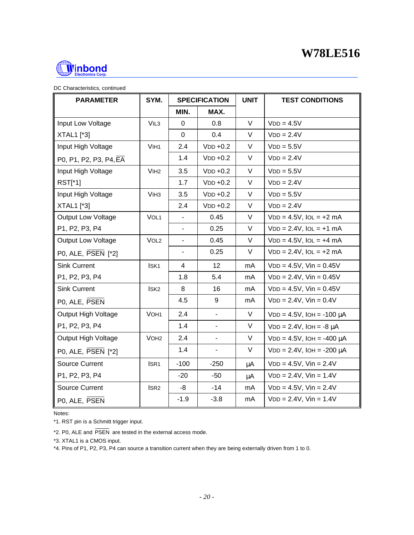

| <b>PARAMETER</b>          | SYM.             | <b>SPECIFICATION</b>     |                          | <b>UNIT</b> | <b>TEST CONDITIONS</b>            |
|---------------------------|------------------|--------------------------|--------------------------|-------------|-----------------------------------|
|                           |                  | MIN.                     | MAX.                     |             |                                   |
| Input Low Voltage         | VIL <sub>3</sub> | 0                        | 0.8                      | V           | $VDD = 4.5V$                      |
| <b>XTAL1</b> [*3]         |                  | $\mathbf 0$              | 0.4                      | V           | $VDD = 2.4V$                      |
| Input High Voltage        | VIH <sub>1</sub> | 2.4                      | $VDD +0.2$               | V           | $VDD = 5.5V$                      |
| P0, P1, P2, P3, P4, EA    |                  | 1.4                      | $VDD +0.2$               | V           | $VDD = 2.4V$                      |
| Input High Voltage        | V <sub>IH2</sub> | 3.5                      | $VDD +0.2$               | $\vee$      | $VDD = 5.5V$                      |
| RST[*1]                   |                  | 1.7                      | $VDD +0.2$               | V           | $VDD = 2.4V$                      |
| Input High Voltage        | V <sub>IH3</sub> | 3.5                      | $VDD +0.2$               | V           | $VDD = 5.5V$                      |
| <b>XTAL1</b> [*3]         |                  | 2.4                      | $VDD +0.2$               | V           | $VDD = 2.4V$                      |
| <b>Output Low Voltage</b> | VOL <sub>1</sub> | $\overline{\phantom{a}}$ | 0.45                     | V           | $VDD = 4.5V$ , $IOL = +2 mA$      |
| P1, P2, P3, P4            |                  | $\overline{\phantom{a}}$ | 0.25                     | V           | $VDD = 2.4V$ , $IOL = +1$ mA      |
| Output Low Voltage        | VOL <sub>2</sub> |                          | 0.45                     | V           | $VDD = 4.5V$ , $IOL = +4 mA$      |
| P0, ALE, PSEN [*2]        |                  | $\overline{\phantom{a}}$ | 0.25                     | V           | $VDD = 2.4V$ , $IOL = +2 mA$      |
| <b>Sink Current</b>       | ISK <sub>1</sub> | $\overline{4}$           | 12                       | mA          | $VDD = 4.5V$ , $Vin = 0.45V$      |
| P1, P2, P3, P4            |                  | 1.8                      | 5.4                      | mA          | $VDD = 2.4V$ , $Vin = 0.45V$      |
| <b>Sink Current</b>       | ISK <sub>2</sub> | 8                        | 16                       | mA          | $VDD = 4.5V$ , $Vin = 0.45V$      |
| P0, ALE, PSEN             |                  | 4.5                      | 9                        | mA          | $VDD = 2.4V$ , $Vin = 0.4V$       |
| Output High Voltage       | VOH <sub>1</sub> | 2.4                      | $\blacksquare$           | V           | $VDD = 4.5V$ , $IOH = -100 \mu A$ |
| P1, P2, P3, P4            |                  | 1.4                      | $\overline{\phantom{a}}$ | V           | $VDD = 2.4V$ , $IOH = -8 \mu A$   |
| Output High Voltage       | VOH <sub>2</sub> | 2.4                      | $\overline{\phantom{a}}$ | V           | $VDD = 4.5V$ , $IOH = -400 \mu A$ |
| P0, ALE, PSEN [*2]        |                  | 1.4                      |                          | V           | $VDD = 2.4V$ , $IOH = -200 \mu A$ |
| Source Current            | ISR <sub>1</sub> | $-100$                   | $-250$                   | μA          | $VDD = 4.5V$ , $Vin = 2.4V$       |
| P1, P2, P3, P4            |                  | $-20$                    | $-50$                    | μA          | $VDD = 2.4V$ , $Vin = 1.4V$       |
| Source Current            | ISR <sub>2</sub> | -8                       | $-14$                    | mA          | $VDD = 4.5V$ , $Vin = 2.4V$       |
| P0, ALE, PSEN             |                  | $-1.9$                   | $-3.8$                   | mA          | $VDD = 2.4V$ , $Vin = 1.4V$       |

Notes:

\*1. RST pin is a Schmitt trigger input.

\*2. P0, ALE and PSEN are tested in the external access mode.

\*3. XTAL1 is a CMOS input.

\*4. Pins of P1, P2, P3, P4 can source a transition current when they are being externally driven from 1 to 0.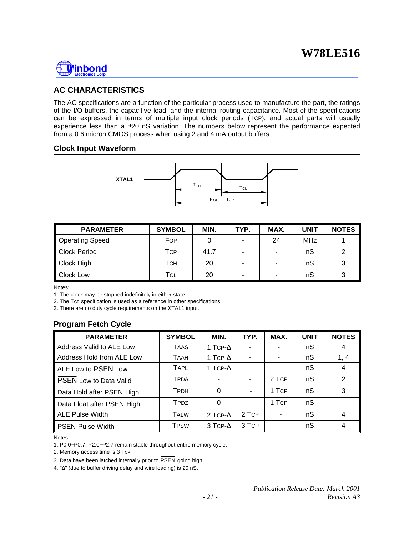

## **AC CHARACTERISTICS**

The AC specifications are a function of the particular process used to manufacture the part, the ratings of the I/O buffers, the capacitive load, and the internal routing capacitance. Most of the specifications can be expressed in terms of multiple input clock periods (TCP), and actual parts will usually experience less than a  $\pm 20$  nS variation. The numbers below represent the performance expected from a 0.6 micron CMOS process when using 2 and 4 mA output buffers.

### **Clock Input Waveform**



| <b>PARAMETER</b> | <b>SYMBOL</b> | MIN. | TYP. | MAX. | <b>UNIT</b> | <b>NOTES</b> |
|------------------|---------------|------|------|------|-------------|--------------|
| Operating Speed  | FOP           |      |      | 24   | <b>MHz</b>  |              |
| Clock Period     | Тср           | 41.7 |      |      | nS          |              |
| Clock High       | Тсн           | 20   |      | ۰    | nS          |              |
| Clock Low        | TCL           | 20   |      | ۰    | nS          |              |

Notes:

1. The clock may be stopped indefinitely in either state.

2. The TCP specification is used as a reference in other specifications.

3. There are no duty cycle requirements on the XTAL1 input.

### **Program Fetch Cycle**

| <b>PARAMETER</b>              | <b>SYMBOL</b> | MIN.            | TYP.           | MAX.           | <b>UNIT</b> | <b>NOTES</b> |
|-------------------------------|---------------|-----------------|----------------|----------------|-------------|--------------|
| Address Valid to ALE Low      | <b>TAAS</b>   | 1 TCP- $\Delta$ |                |                | nS          | 4            |
| Address Hold from ALE Low     | <b>TAAH</b>   | 1 TCP- $\Delta$ |                |                | nS          | 1, 4         |
| ALE Low to PSEN Low           | <b>TAPL</b>   | 1 TCP- $\Delta$ |                |                | nS          | 4            |
| <b>PSEN Low to Data Valid</b> | <b>TPDA</b>   | ۰               |                | 2 TCP          | nS          | 2            |
| Data Hold after PSEN High     | <b>TPDH</b>   | $\Omega$        | $\blacksquare$ | 1 TCP          | nS          | 3            |
| Data Float after PSEN High    | TPDZ          | 0               | -              | 1 TCP          | nS          |              |
| ALE Pulse Width               | <b>TALW</b>   | 2 TCP- $\Delta$ | 2 TCP          | ۰              | nS          | 4            |
| <b>PSEN Pulse Width</b>       | <b>TPSW</b>   | 3 TCP- $\Delta$ | 3 TCP          | $\blacksquare$ | nS          | 4            |

Notes:

1. P0.0−P0.7, P2.0−P2.7 remain stable throughout entire memory cycle.

2. Memory access time is 3 TCP.

3. Data have been latched internally prior to PSEN going high.

4. "Δ" (due to buffer driving delay and wire loading) is 20 nS.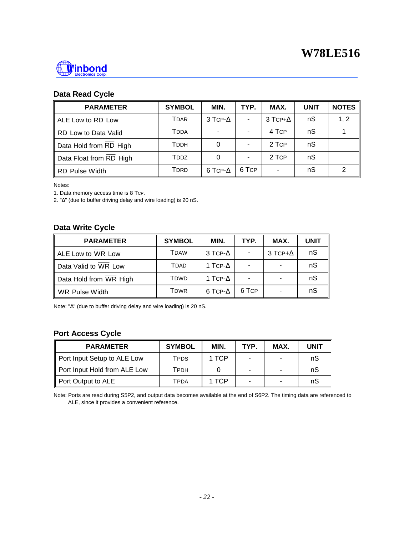

## **Data Read Cycle**

| <b>PARAMETER</b>        | <b>SYMBOL</b>           | MIN.            | TYP.  | MAX.            | <b>UNIT</b> | <b>NOTES</b> |
|-------------------------|-------------------------|-----------------|-------|-----------------|-------------|--------------|
| ALE Low to RD Low       | <b>T</b> DAR            | 3 TCP- $\Delta$ |       | 3 TCP+ $\Delta$ | nS          | 1, 2         |
| RD Low to Data Valid    | <b>T</b> DDA            | ٠               |       | 4 TCP           | nS          |              |
| Data Hold from RD High  | <b>T</b> <sub>DDH</sub> | 0               |       | 2 TCP           | nS          |              |
| Data Float from RD High | TDDZ                    | 0               |       | 2 TCP           | nS          |              |
| <b>RD Pulse Width</b>   | TDRD                    | 6 TCP- $\Delta$ | 6 TCP |                 | nS          | ⌒            |

Notes:

1. Data memory access time is 8 Tcp.

2. "Δ" (due to buffer driving delay and wire loading) is 20 nS.

## **Data Write Cycle**

| <b>PARAMETER</b>       | <b>SYMBOL</b>                                   | MIN.            | TYP.  | MAX.            | <b>UNIT</b> |
|------------------------|-------------------------------------------------|-----------------|-------|-----------------|-------------|
| ALE Low to WR Low      | <b>T</b> DAW                                    | 3 TCP- $\Delta$ |       | 3 TCP+ $\Delta$ | nS          |
| Data Valid to WR Low   | <b>T</b> DAD                                    | 1 TCP- $\Delta$ |       |                 | nS          |
| Data Hold from WR High | <b>T</b> <sub>D</sub> <sub>W</sub> <sub>D</sub> | 1 TCP- $\Delta$ |       |                 | nS          |
| WR Pulse Width         | <b>T</b> <sub>D</sub> <sub>WR</sub>             | 6 TCP- $\Delta$ | 6 TCP |                 | nS          |

Note: "Δ" (due to buffer driving delay and wire loading) is 20 nS.

## **Port Access Cycle**

| <b>PARAMETER</b>             | <b>SYMBOL</b> | MIN.  | TYP.                     | MAX. | UNIT |
|------------------------------|---------------|-------|--------------------------|------|------|
| Port Input Setup to ALE Low  | TPDS          | 1 TCP | -                        |      | nS   |
| Port Input Hold from ALE Low | Тррн          |       | $\overline{\phantom{0}}$ |      | nS   |
| Port Output to ALE           | TPDA          | 1 TCP | -                        |      | nS   |

Note: Ports are read during S5P2, and output data becomes available at the end of S6P2. The timing data are referenced to ALE, since it provides a convenient reference.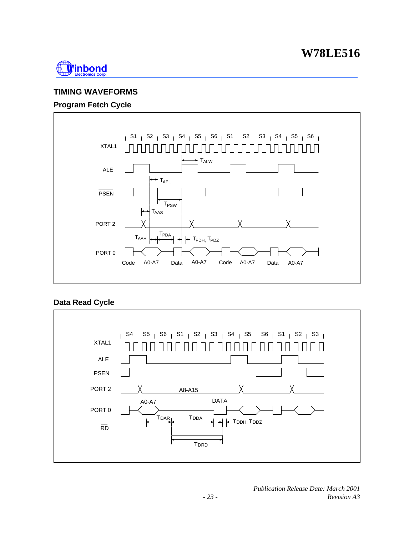

## **TIMING WAVEFORMS**

## **Program Fetch Cycle**



## **Data Read Cycle**

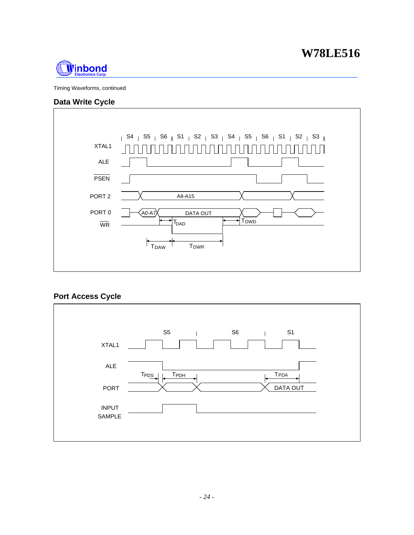

Timing Waveforms, continued

### **Data Write Cycle**



### **Port Access Cycle**

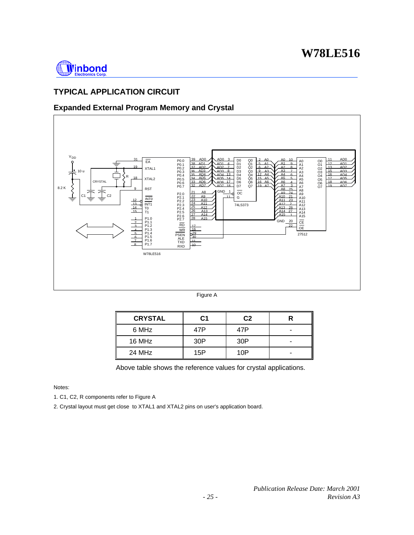

## **TYPICAL APPLICATION CIRCUIT**

## **Expanded External Program Memory and Crystal**



Figure A

| <b>CRYSTAL</b> | C1  | C <sub>2</sub> |  |
|----------------|-----|----------------|--|
| 6 MHz          | 47P | 47P            |  |
| 16 MHz         | 30P | 30P            |  |
| 24 MHz         | 15P | 10 $P$         |  |

Above table shows the reference values for crystal applications.

Notes:

1. C1, C2, R components refer to Figure A

2. Crystal layout must get close to XTAL1 and XTAL2 pins on user's application board.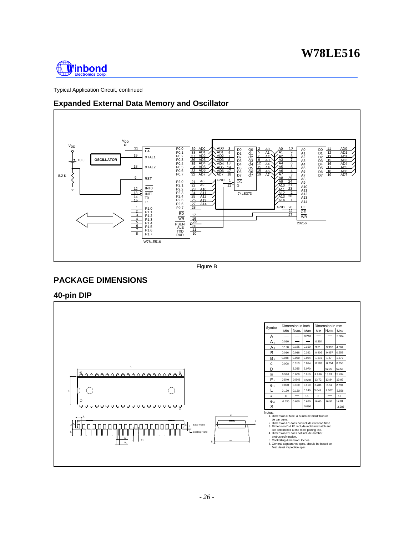

Typical Application Circuit, continued

## **Expanded External Data Memory and Oscillator**



Figure B

## **PACKAGE DIMENSIONS**

**40-pin DIP**

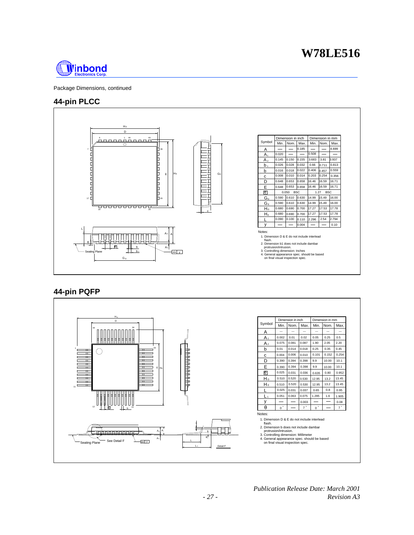

Package Dimensions, continued

### **44-pin PLCC**



### **44-pin PQFP**

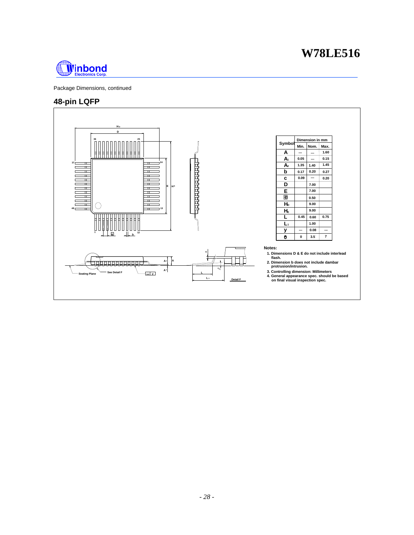

Package Dimensions, continued

## **48-pin LQFP**

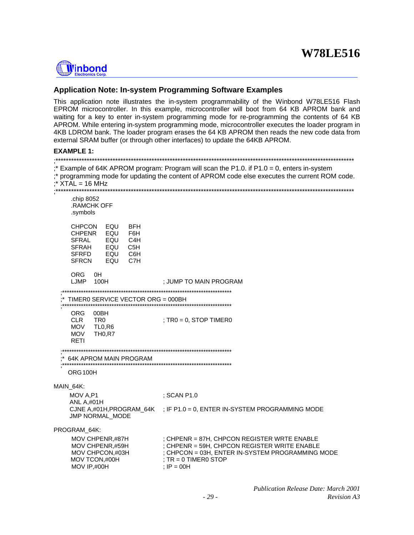

#### **Application Note: In-system Programming Software Examples**

This application note illustrates the in-system programmability of the Winbond W78LE516 Flash EPROM microcontroller. In this example, microcontroller will boot from 64 KB APROM bank and waiting for a key to enter in-system programming mode for re-programming the contents of 64 KB APROM. While entering in-system programming mode, microcontroller executes the loader program in 4KB LDROM bank. The loader program erases the 64 KB APROM then reads the new code data from external SRAM buffer (or through other interfaces) to update the 64KB APROM.

#### **EXAMPLE 1:**

| $:$ XTAL = 16 MHz                                                                                                                                                               | ;* Example of 64K APROM program: Program will scan the P1.0. if P1.0 = 0, enters in-system<br>;* programming mode for updating the content of APROM code else executes the current ROM code. |  |  |
|---------------------------------------------------------------------------------------------------------------------------------------------------------------------------------|----------------------------------------------------------------------------------------------------------------------------------------------------------------------------------------------|--|--|
| .chip 8052<br><b>.RAMCHK OFF</b><br>.symbols                                                                                                                                    |                                                                                                                                                                                              |  |  |
| EQU<br><b>CHPCON</b><br><b>BFH</b><br>EQU<br><b>CHPENR</b><br>F6H<br><b>SFRAL</b><br>EQU<br>C4H<br>EQU<br><b>SFRAH</b><br>C5H<br>SFRFD EQU<br>C6H<br><b>SFRCN</b><br>C7H<br>EQU |                                                                                                                                                                                              |  |  |
| <b>ORG</b><br>0H<br>100H<br>LJMP                                                                                                                                                | ; JUMP TO MAIN PROGRAM                                                                                                                                                                       |  |  |
| TIMERO SERVICE VECTOR ORG = 000BH                                                                                                                                               |                                                                                                                                                                                              |  |  |
| ORG.<br>00BH<br>TR0<br><b>CLR</b><br>MOV<br>TL0,R6<br><b>MOV</b><br><b>TH0,R7</b><br>RETI                                                                                       | ; $TRO = 0$ , $STOP$ TIMER0                                                                                                                                                                  |  |  |
| 64K APROM MAIN PROGRAM<br>ORG <sub>100</sub> H                                                                                                                                  |                                                                                                                                                                                              |  |  |
| MAIN 64K:                                                                                                                                                                       |                                                                                                                                                                                              |  |  |
| MOV A,P1<br><b>ANL A,#01H</b>                                                                                                                                                   | ; SCAN P1.0                                                                                                                                                                                  |  |  |
| JMP NORMAL_MODE                                                                                                                                                                 | CJNE A,#01H, PROGRAM_64K ; IF P1.0 = 0, ENTER IN-SYSTEM PROGRAMMING MODE                                                                                                                     |  |  |
| PROGRAM_64K:<br>MOV CHPENR,#87H<br>MOV CHPENR,#59H<br>MOV CHPCON,#03H<br>MOV TCON,#00H<br>MOV IP,#00H                                                                           | ; CHPENR = 87H, CHPCON REGISTER WRTE ENABLE<br>; CHPENR = 59H, CHPCON REGISTER WRITE ENABLE<br>: CHPCON = 03H, ENTER IN-SYSTEM PROGRAMMING MODE<br>$T = 0$ TIMERO STOP<br>$I = 00H$          |  |  |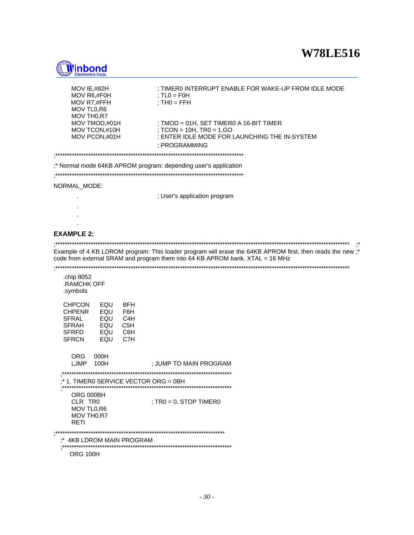

| MOV IE,#82H<br>MOV R6,#F0H<br>MOV R7,#FFH<br>MOV TL0,R6<br>MOV TH0,R7                                                                                                                                  | ; TIMERO INTERRUPT ENABLE FOR WAKE-UP FROM IDLE MODE<br>; $TLO = FOH$<br>; $TH0 = FFH$                                                                                                    |  |  |  |
|--------------------------------------------------------------------------------------------------------------------------------------------------------------------------------------------------------|-------------------------------------------------------------------------------------------------------------------------------------------------------------------------------------------|--|--|--|
| MOV TMOD,#01H<br>MOV TCON,#10H<br>MOV PCON,#01H<br>***********************                                                                                                                             | ; TMOD = 01H, SET TIMER0 A 16-BIT TIMER<br>; TCON = 10H, TR0 = 1,GO<br>; ENTER IDLE MODE FOR LAUNCHING THE IN-SYSTEM<br>; PROGRAMMING                                                     |  |  |  |
| * Normal mode 64KB APROM program: depending user's application                                                                                                                                         |                                                                                                                                                                                           |  |  |  |
| NORMAL_MODE:                                                                                                                                                                                           | ; User's application program                                                                                                                                                              |  |  |  |
|                                                                                                                                                                                                        |                                                                                                                                                                                           |  |  |  |
| <b>EXAMPLE 2:</b>                                                                                                                                                                                      |                                                                                                                                                                                           |  |  |  |
|                                                                                                                                                                                                        | Example of 4 KB LDROM program: This loader program will erase the 64KB APROM first, then reads the new;*<br>code from external SRAM and program them into 64 KB APROM bank. XTAL = 16 MHz |  |  |  |
| .chip 8052<br>.RAMCHK OFF<br>.symbols                                                                                                                                                                  |                                                                                                                                                                                           |  |  |  |
| EQU<br><b>CHPCON</b><br><b>BFH</b><br><b>CHPENR</b><br>EQU<br>F6H<br><b>SFRAL</b><br>EQU<br>C4H<br><b>SFRAH</b><br>EQU<br>C <sub>5</sub> H<br><b>SFRFD</b><br>EQU<br>C6H<br>C7H<br><b>SFRCN</b><br>EQU |                                                                                                                                                                                           |  |  |  |
| <b>ORG</b><br>000H<br>LJMP<br>100H                                                                                                                                                                     | ; JUMP TO MAIN PROGRAM                                                                                                                                                                    |  |  |  |
| $;*$ 1. TIMER0 SERVICE VECTOR ORG = 0BH                                                                                                                                                                |                                                                                                                                                                                           |  |  |  |
| ORG 000BH<br>CLR TRO<br>MOV TL0,R6<br>MOV TH <sub>0,R7</sub><br><b>RETI</b>                                                                                                                            | ; $TRO = 0$ , $STOP$ TIMER0                                                                                                                                                               |  |  |  |
| ***********<br>4KB LDROM MAIN PROGRAM                                                                                                                                                                  |                                                                                                                                                                                           |  |  |  |

ORG 100H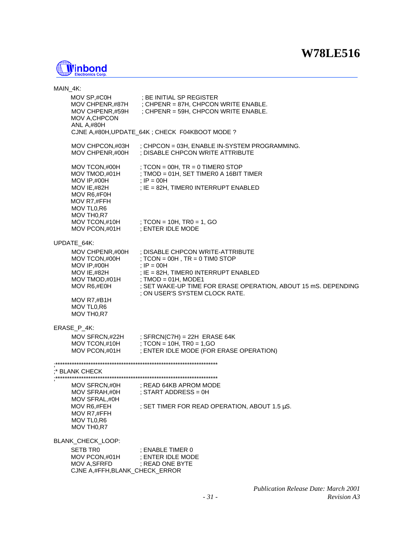

| MAIN_4K:          |                                                                                            |                                                                                                                                                                                                                                                                                                                                                           |  |  |  |
|-------------------|--------------------------------------------------------------------------------------------|-----------------------------------------------------------------------------------------------------------------------------------------------------------------------------------------------------------------------------------------------------------------------------------------------------------------------------------------------------------|--|--|--|
|                   | MOV CHPENR,#59H<br>MOV A, CHPCON<br><b>ANL A,#80H</b>                                      | MOV SP,#C0H ; BE INITIAL SP REGISTER<br>MOV CHPENR,#87H ; CHPENR = 87H, CHPCON WRITE ENABLE.<br>; CHPENR = 59H, CHPCON WRITE ENABLE.                                                                                                                                                                                                                      |  |  |  |
|                   |                                                                                            | CJNE A,#80H, UPDATE_64K; CHECK F04KBOOT MODE?                                                                                                                                                                                                                                                                                                             |  |  |  |
|                   | MOV CHPENR,#00H                                                                            | MOV CHPCON, #03H $\;$ ; CHPCON = 03H, ENABLE IN-SYSTEM PROGRAMMING.<br>; DISABLE CHPCON WRITE ATTRIBUTE                                                                                                                                                                                                                                                   |  |  |  |
|                   | MOV IE,#82H<br>MOV R6,#F0H<br>MOV R7,#FFH<br>MOV TL0,R6                                    | MOV TCON,#00H ; TCON = 00H, TR = 0 TIMER0 STOP<br>MOV TMOD,#01H ; TMOD = 01H, SET TIMER0 A 16BIT TIMER<br>MOV IP,#00H ; IP = 00H<br>; IE = 82H, TIMERO INTERRUPT ENABLED                                                                                                                                                                                  |  |  |  |
|                   | MOV TH <sub>0,R7</sub><br>MOV PCON,#01H ; ENTER IDLE MODE                                  | MOV TCON,#10H $\qquad$ ; TCON = 10H, TR0 = 1, GO                                                                                                                                                                                                                                                                                                          |  |  |  |
|                   | UPDATE_64K:                                                                                |                                                                                                                                                                                                                                                                                                                                                           |  |  |  |
|                   | $MOV IP, #00H$ ; $IP = 00H$                                                                | MOV CHPENR,#00H ; DISABLE CHPCON WRITE-ATTRIBUTE<br>MOV TCON, #00H $\qquad$ ; TCON = 00H, TR = 0 TIM0 STOP<br>MOV IE,#82H ; IE = 82H, TIMER0 INTERRUPT ENABLED<br>MOV TMOD,#01H ; TMOD = 01H, MODE1<br>MOV R6,#E0H ; SET WAKE-UP TIME FOR ERASE OPERA<br>; SET WAKE-UP TIME FOR ERASE OPERATION, ABOUT 15 mS. DEPENDING<br>; ON USER'S SYSTEM CLOCK RATE. |  |  |  |
|                   | MOV R7,#B1H<br>MOV TL0,R6<br>MOV TH <sub>0,R7</sub>                                        |                                                                                                                                                                                                                                                                                                                                                           |  |  |  |
|                   | ERASE_P_4K:                                                                                |                                                                                                                                                                                                                                                                                                                                                           |  |  |  |
|                   |                                                                                            | MOV SFRCN,#22H ; SFRCN(C7H) = 22H ERASE 64K<br>MOV TCON,#10H ; TCON = 10H, TR0 = 1,GO<br>MOV PCON,#01H ; ENTER IDLE MODE (FOR ERASE OPERATION)                                                                                                                                                                                                            |  |  |  |
| :* BLANK CHECK    |                                                                                            |                                                                                                                                                                                                                                                                                                                                                           |  |  |  |
|                   | MOV SFRAH,#0H<br>MOV SFRAL,#0H                                                             | MOV SFRCN,#0H : READ 64KB APROM MODE<br>; START ADDRESS = 0H                                                                                                                                                                                                                                                                                              |  |  |  |
|                   | MOV R6,#FEH<br>MOV R7,#FFH<br>MOV TL0,R6<br>MOV TH <sub>0,R7</sub>                         | ; SET TIMER FOR READ OPERATION, ABOUT 1.5 $\mu$ S.                                                                                                                                                                                                                                                                                                        |  |  |  |
| BLANK_CHECK_LOOP: |                                                                                            |                                                                                                                                                                                                                                                                                                                                                           |  |  |  |
|                   | <b>SETB TRO</b><br>MOV PCON,#01H<br><b>MOV A, SFRFD</b><br>CJNE A, #FFH, BLANK_CHECK_ERROR | : ENABLE TIMER 0<br>; ENTER IDLE MODE<br>; READ ONE BYTE                                                                                                                                                                                                                                                                                                  |  |  |  |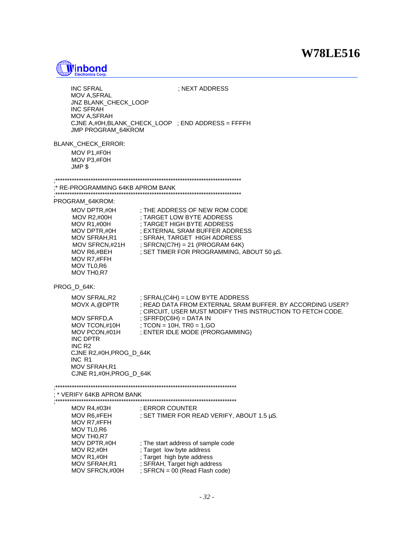

| INC SFRAL<br>MOV A, SFRAL<br><b>JNZ BLANK CHECK LOOP</b><br><b>INC SFRAH</b><br><b>MOV A, SFRAH</b><br><b>JMP PROGRAM 64KROM</b>                                      | ; NEXT ADDRESS<br>CJNE A, #0H, BLANK_CHECK_LOOP ; END ADDRESS = FFFFH                                                                                                                                                                                                                                                        |  |  |  |
|-----------------------------------------------------------------------------------------------------------------------------------------------------------------------|------------------------------------------------------------------------------------------------------------------------------------------------------------------------------------------------------------------------------------------------------------------------------------------------------------------------------|--|--|--|
| BLANK CHECK ERROR:<br>MOV P1,#F0H<br>MOV P3,#F0H<br>JMP \$                                                                                                            |                                                                                                                                                                                                                                                                                                                              |  |  |  |
|                                                                                                                                                                       |                                                                                                                                                                                                                                                                                                                              |  |  |  |
| :* RE-PROGRAMMING 64KB APROM BANK                                                                                                                                     |                                                                                                                                                                                                                                                                                                                              |  |  |  |
| PROGRAM 64KROM:<br>MOV DPTR,#0H<br>MOV R2,#00H<br>MOV R6,#BEH<br>MOV R7,#FFH<br>MOV TL0,R6<br>MOV TH <sub>0,R7</sub>                                                  | ; THE ADDRESS OF NEW ROM CODE<br>; TARGFT המור השיר הרבה ה<br>; TARGET LOW BYTE ADDRESS<br>MOV R1,#00H ; TARGET HIGH BYTE ADDRESS<br>MOV DPTR,#0H ; EXTERNAL SRAM BUFFER ADDRESS<br>MOV SFRAH,R1 ; SFRAH, TARGET HIGH ADDRESS<br>MOV SFRCN,#21H ; SFRCN(C7H) = 21 (PROGRAM 64K)<br>; SET TIMER FOR PROGRAMMING, ABOUT 50 µS. |  |  |  |
| PROG D 64K:                                                                                                                                                           |                                                                                                                                                                                                                                                                                                                              |  |  |  |
| MOVX A,@DPTR<br>MOV SFRFD,A<br>MOV PCON,#01H<br>INC DPTR<br>INC R <sub>2</sub><br>CJNE R2,#0H, PROG_D_64K<br>INC R1<br><b>MOV SFRAH.R1</b><br>CJNE R1,#0H, PROG_D_64K | $MOV$ SFRAL, R2 $\qquad$ ; SFRAL(C4H) = LOW BYTE ADDRESS<br>; READ DATA FROM EXTERNAL SRAM BUFFER. BY ACCORDING USER?<br>; CIRCUIT, USER MUST MODIFY THIS INSTRUCTION TO FETCH CODE.<br>; SFRFD(C6H) = DATA IN<br>MOV TCON,#10H $\qquad$ ; TCON = 10H, TR0 = 1,GO<br>; ENTER IDLE MODE (PRORGAMMING)                         |  |  |  |
| VERIFY 64KB APROM BANK                                                                                                                                                |                                                                                                                                                                                                                                                                                                                              |  |  |  |
| MOV R4,#03H<br>MOV R6,#FEH<br>MOV R7,#FFH<br>MOV TL0,R6<br>MOV TH <sub>0,R7</sub>                                                                                     | ; ERROR COUNTER<br>; SET TIMER FOR READ VERIFY, ABOUT 1.5 µS.                                                                                                                                                                                                                                                                |  |  |  |
| MOV DPTR,#0H<br>MOV R2,#0H<br>MOV R1,#0H<br>MOV SFRAH, R1<br>MOV SFRCN,#00H                                                                                           | ; The start address of sample code<br>; Target low byte address<br>; Target high byte address<br>; SFRAH, Target high address<br>; $SFRCN = 00$ (Read Flash code)                                                                                                                                                            |  |  |  |